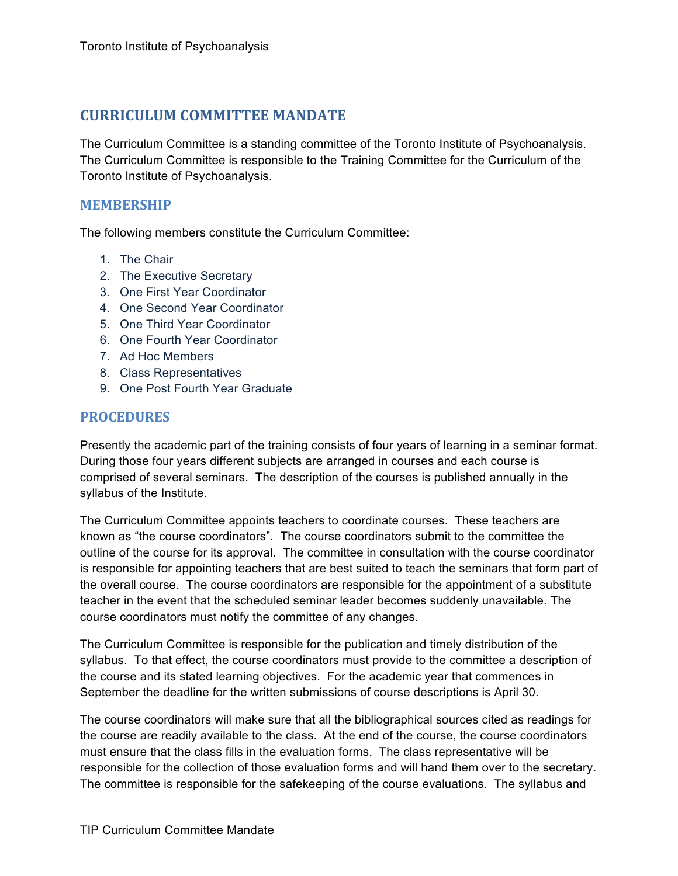## **CURRICULUM COMMITTEE'MANDATE**

The Curriculum Committee is a standing committee of the Toronto Institute of Psychoanalysis. The Curriculum Committee is responsible to the Training Committee for the Curriculum of the Toronto Institute of Psychoanalysis.

## **MEMBERSHIP**

The following members constitute the Curriculum Committee:

- 1. The Chair
- 2. The Executive Secretary
- 3. One First Year Coordinator
- 4. One Second Year Coordinator
- 5. One Third Year Coordinator
- 6. One Fourth Year Coordinator
- 7. Ad Hoc Members
- 8. Class Representatives
- 9. One Post Fourth Year Graduate

## **PROCEDURES**

Presently the academic part of the training consists of four years of learning in a seminar format. During those four years different subjects are arranged in courses and each course is comprised of several seminars. The description of the courses is published annually in the syllabus of the Institute.

The Curriculum Committee appoints teachers to coordinate courses. These teachers are known as "the course coordinators". The course coordinators submit to the committee the outline of the course for its approval. The committee in consultation with the course coordinator is responsible for appointing teachers that are best suited to teach the seminars that form part of the overall course. The course coordinators are responsible for the appointment of a substitute teacher in the event that the scheduled seminar leader becomes suddenly unavailable. The course coordinators must notify the committee of any changes.

The Curriculum Committee is responsible for the publication and timely distribution of the syllabus. To that effect, the course coordinators must provide to the committee a description of the course and its stated learning objectives. For the academic year that commences in September the deadline for the written submissions of course descriptions is April 30.

The course coordinators will make sure that all the bibliographical sources cited as readings for the course are readily available to the class. At the end of the course, the course coordinators must ensure that the class fills in the evaluation forms. The class representative will be responsible for the collection of those evaluation forms and will hand them over to the secretary. The committee is responsible for the safekeeping of the course evaluations. The syllabus and